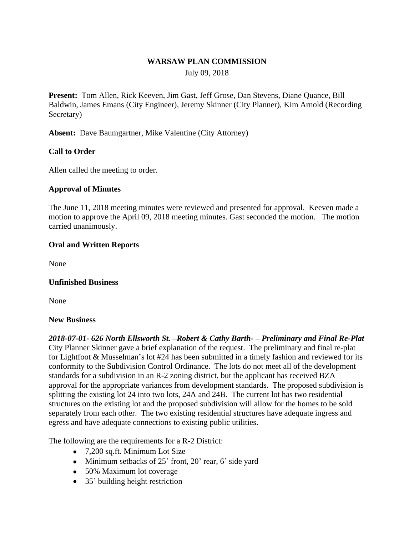#### **WARSAW PLAN COMMISSION**

July 09, 2018

**Present:** Tom Allen, Rick Keeven, Jim Gast, Jeff Grose, Dan Stevens, Diane Quance, Bill Baldwin, James Emans (City Engineer), Jeremy Skinner (City Planner), Kim Arnold (Recording Secretary)

**Absent:** Dave Baumgartner, Mike Valentine (City Attorney)

## **Call to Order**

Allen called the meeting to order.

#### **Approval of Minutes**

The June 11, 2018 meeting minutes were reviewed and presented for approval. Keeven made a motion to approve the April 09, 2018 meeting minutes. Gast seconded the motion. The motion carried unanimously.

### **Oral and Written Reports**

None

#### **Unfinished Business**

None

#### **New Business**

*2018-07-01- 626 North Ellsworth St. –Robert & Cathy Barth- – Preliminary and Final Re-Plat* City Planner Skinner gave a brief explanation of the request. The preliminary and final re-plat for Lightfoot & Musselman's lot #24 has been submitted in a timely fashion and reviewed for its conformity to the Subdivision Control Ordinance. The lots do not meet all of the development standards for a subdivision in an R-2 zoning district, but the applicant has received BZA approval for the appropriate variances from development standards. The proposed subdivision is splitting the existing lot 24 into two lots, 24A and 24B. The current lot has two residential structures on the existing lot and the proposed subdivision will allow for the homes to be sold separately from each other. The two existing residential structures have adequate ingress and egress and have adequate connections to existing public utilities.

The following are the requirements for a R-2 District:

- 7,200 sq.ft. Minimum Lot Size
- Minimum setbacks of 25' front, 20' rear, 6' side yard
- 50% Maximum lot coverage
- 35' building height restriction